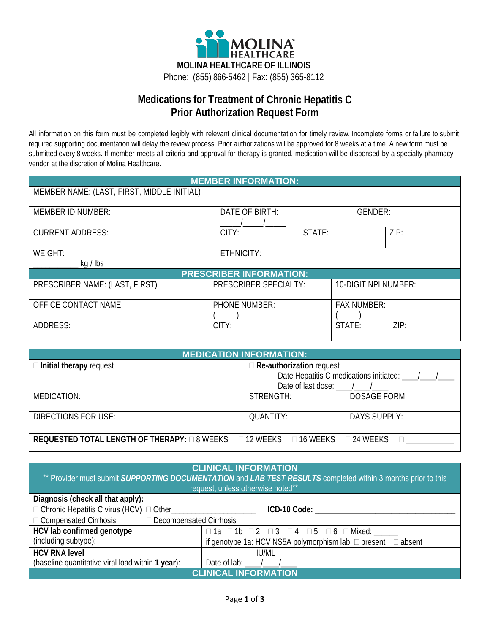

## **Medications for Treatment of Chronic Hepatitis C Prior Authorization Request Form**

All information on this form must be completed legibly with relevant clinical documentation for timely review. Incomplete forms or failure to submit required supporting documentation will delay the review process. Prior authorizations will be approved for 8 weeks at a time. A new form must be submitted every 8 weeks. If member meets all criteria and approval for therapy is granted, medication will be dispensed by a specialty pharmacy vendor at the discretion of Molina Healthcare.

| <b>MEMBER INFORMATION:</b>                 |                       |        |                      |                |  |
|--------------------------------------------|-----------------------|--------|----------------------|----------------|--|
| MEMBER NAME: (LAST, FIRST, MIDDLE INITIAL) |                       |        |                      |                |  |
|                                            |                       |        |                      |                |  |
| <b>MEMBER ID NUMBER:</b>                   | DATE OF BIRTH:        |        |                      | <b>GENDER:</b> |  |
|                                            |                       |        |                      |                |  |
| <b>CURRENT ADDRESS:</b>                    | CITY:                 | STATE: |                      | ZIP:           |  |
|                                            |                       |        |                      |                |  |
| WEIGHT:                                    | ETHNICITY:            |        |                      |                |  |
| kg / lbs                                   |                       |        |                      |                |  |
| <b>PRESCRIBER INFORMATION:</b>             |                       |        |                      |                |  |
| PRESCRIBER NAME: (LAST, FIRST)             | PRESCRIBER SPECIALTY: |        | 10-DIGIT NPI NUMBER: |                |  |
|                                            |                       |        |                      |                |  |
| <b>OFFICE CONTACT NAME:</b>                | <b>PHONE NUMBER:</b>  |        | <b>FAX NUMBER:</b>   |                |  |
|                                            |                       |        |                      |                |  |
| ADDRESS:                                   | CITY:                 |        | STATE:               | ZIP:           |  |
|                                            |                       |        |                      |                |  |

| <b>MEDICATION INFORMATION:</b>                                                                           |                                                  |                     |  |
|----------------------------------------------------------------------------------------------------------|--------------------------------------------------|---------------------|--|
| $\Box$ Initial therapy request                                                                           | $\Box$ Re-authorization request                  |                     |  |
|                                                                                                          | Date Hepatitis C medications initiated: ___/___/ |                     |  |
|                                                                                                          |                                                  |                     |  |
| MEDICATION:                                                                                              | STRENGTH:                                        | <b>DOSAGE FORM:</b> |  |
| DIRECTIONS FOR USE:                                                                                      | <b>QUANTITY:</b>                                 | <b>DAYS SUPPLY:</b> |  |
| <b>REQUESTED TOTAL LENGTH OF THERAPY:</b> $\Box$ 8 WEEKS $\Box$ 12 WEEKS $\Box$ 16 WEEKS $\Box$ 24 WEEKS |                                                  |                     |  |

| <b>CLINICAL INFORMATION</b><br>** Provider must submit SUPPORTING DOCUMENTATION and LAB TEST RESULTS completed within 3 months prior to this<br>request, unless otherwise noted**. |                                                                                |  |  |
|------------------------------------------------------------------------------------------------------------------------------------------------------------------------------------|--------------------------------------------------------------------------------|--|--|
| Diagnosis (check all that apply):                                                                                                                                                  |                                                                                |  |  |
| $\Box$ Chronic Hepatitis C virus (HCV) $\Box$ Other                                                                                                                                | ICD-10 Code:                                                                   |  |  |
| $\Box$ Compensated Cirrhosis $\Box$ Decompensated Cirrhosis                                                                                                                        |                                                                                |  |  |
| HCV lab confirmed genotype                                                                                                                                                         | $\Box$ 1a $\Box$ 1b $\Box$ 2 $\Box$ 3 $\Box$ 4 $\Box$ 5 $\Box$ 6 $\Box$ Mixed: |  |  |
| (including subtype):<br>if genotype 1a: HCV NS5A polymorphism lab: $\Box$ present $\Box$ absent                                                                                    |                                                                                |  |  |
| <b>HCV RNA level</b>                                                                                                                                                               | <b>IU/ML</b>                                                                   |  |  |
| (baseline quantitative viral load within 1 year):<br>Date of lab: $/$                                                                                                              |                                                                                |  |  |
| <b>INICAL INFORMATION</b>                                                                                                                                                          |                                                                                |  |  |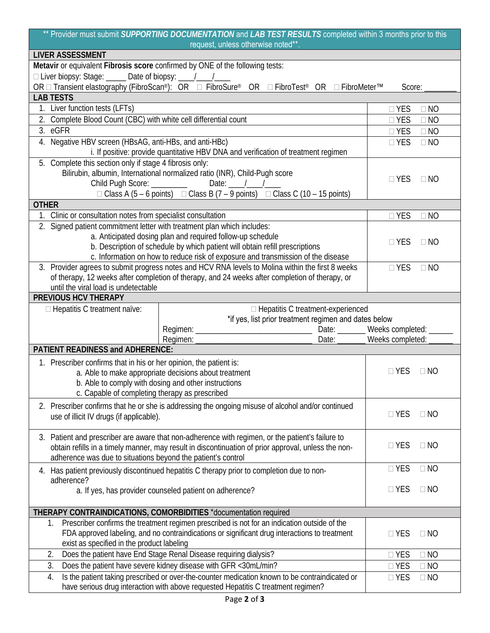|                                                                         | ** Provider must submit SUPPORTING DOCUMENTATION and LAB TEST RESULTS completed within 3 months prior to this<br>request, unless otherwise noted**.                                           |                                |                        |  |
|-------------------------------------------------------------------------|-----------------------------------------------------------------------------------------------------------------------------------------------------------------------------------------------|--------------------------------|------------------------|--|
| <b>LIVER ASSESSMENT</b>                                                 |                                                                                                                                                                                               |                                |                        |  |
|                                                                         | Metavir or equivalent Fibrosis score confirmed by ONE of the following tests:                                                                                                                 |                                |                        |  |
|                                                                         |                                                                                                                                                                                               |                                |                        |  |
|                                                                         | OR □ Transient elastography (FibroScan®): OR □ FibroSure® OR □ FibroTest® OR □ FibroMeter™                                                                                                    | Score:                         |                        |  |
| <b>LAB TESTS</b>                                                        |                                                                                                                                                                                               |                                |                        |  |
| 1. Liver function tests (LFTs)                                          |                                                                                                                                                                                               | $\Box$ YES                     | $\Box$ NO              |  |
| 2. Complete Blood Count (CBC) with white cell differential count        |                                                                                                                                                                                               | $\Box$ YES                     | $\Box$ NO              |  |
| 3. eGFR                                                                 |                                                                                                                                                                                               | $\Box$ YES                     | $\Box$ NO              |  |
| 4. Negative HBV screen (HBsAG, anti-HBs, and anti-HBc)                  |                                                                                                                                                                                               | $\Box$ YES                     | $\Box$ NO              |  |
|                                                                         | i. If positive: provide quantitative HBV DNA and verification of treatment regimen                                                                                                            |                                |                        |  |
| 5. Complete this section only if stage 4 fibrosis only:                 |                                                                                                                                                                                               |                                |                        |  |
|                                                                         | Bilirubin, albumin, International normalized ratio (INR), Child-Pugh score                                                                                                                    | $\Box$ YES                     | $\Box$ NO              |  |
| Child Pugh Score: _________                                             | Date: $\frac{1}{\sqrt{1-\frac{1}{2}}}$                                                                                                                                                        |                                |                        |  |
|                                                                         | $\Box$ Class A (5 – 6 points) $\Box$ Class B (7 – 9 points) $\Box$ Class C (10 – 15 points)                                                                                                   |                                |                        |  |
| <b>OTHER</b>                                                            |                                                                                                                                                                                               |                                |                        |  |
| 1. Clinic or consultation notes from specialist consultation            |                                                                                                                                                                                               | $\Box$ YES                     | $\Box$ NO              |  |
| 2. Signed patient commitment letter with treatment plan which includes: |                                                                                                                                                                                               |                                |                        |  |
|                                                                         | a. Anticipated dosing plan and required follow-up schedule                                                                                                                                    | $\Box$ YES                     | $\Box$ NO              |  |
|                                                                         | b. Description of schedule by which patient will obtain refill prescriptions                                                                                                                  |                                |                        |  |
|                                                                         | c. Information on how to reduce risk of exposure and transmission of the disease                                                                                                              |                                |                        |  |
|                                                                         | 3. Provider agrees to submit progress notes and HCV RNA levels to Molina within the first 8 weeks                                                                                             | $\Box$ YES                     | $\Box$ NO              |  |
|                                                                         | of therapy, 12 weeks after completion of therapy, and 24 weeks after completion of therapy, or                                                                                                |                                |                        |  |
| until the viral load is undetectable<br>PREVIOUS HCV THERAPY            |                                                                                                                                                                                               |                                |                        |  |
|                                                                         |                                                                                                                                                                                               |                                |                        |  |
| $\Box$ Hepatitis C treatment naïve:                                     | $\Box$ Hepatitis C treatment-experienced<br>*if yes, list prior treatment regimen and dates below                                                                                             |                                |                        |  |
|                                                                         |                                                                                                                                                                                               |                                |                        |  |
|                                                                         |                                                                                                                                                                                               | Date: _______ Weeks completed: |                        |  |
| <b>PATIENT READINESS and ADHERENCE:</b>                                 |                                                                                                                                                                                               |                                |                        |  |
| 1. Prescriber confirms that in his or her opinion, the patient is:      |                                                                                                                                                                                               |                                |                        |  |
|                                                                         |                                                                                                                                                                                               |                                |                        |  |
| b. Able to comply with dosing and other instructions                    |                                                                                                                                                                                               |                                |                        |  |
|                                                                         | a. Able to make appropriate decisions about treatment                                                                                                                                         | $\Box$ YES                     | $\Box$ NO              |  |
|                                                                         |                                                                                                                                                                                               |                                |                        |  |
| c. Capable of completing therapy as prescribed                          |                                                                                                                                                                                               |                                |                        |  |
|                                                                         | 2. Prescriber confirms that he or she is addressing the ongoing misuse of alcohol and/or continued                                                                                            |                                |                        |  |
| use of illicit IV drugs (if applicable).                                |                                                                                                                                                                                               | $\Box$ YES                     | $\Box$ NO              |  |
|                                                                         |                                                                                                                                                                                               |                                |                        |  |
|                                                                         | 3. Patient and prescriber are aware that non-adherence with regimen, or the patient's failure to                                                                                              | $\Box$ YES                     | $\Box$ NO              |  |
|                                                                         | obtain refills in a timely manner, may result in discontinuation of prior approval, unless the non-                                                                                           |                                |                        |  |
| adherence was due to situations beyond the patient's control            |                                                                                                                                                                                               |                                | $\Box$ NO              |  |
|                                                                         | 4. Has patient previously discontinued hepatitis C therapy prior to completion due to non-                                                                                                    | $\Box$ YES                     |                        |  |
| adherence?                                                              |                                                                                                                                                                                               |                                |                        |  |
|                                                                         | a. If yes, has provider counseled patient on adherence?                                                                                                                                       | $\Box$ YES                     | $\Box$ NO              |  |
|                                                                         |                                                                                                                                                                                               |                                |                        |  |
| 1.                                                                      | THERAPY CONTRAINDICATIONS, COMORBIDITIES *documentation required                                                                                                                              |                                |                        |  |
|                                                                         | Prescriber confirms the treatment regimen prescribed is not for an indication outside of the<br>FDA approved labeling, and no contraindications or significant drug interactions to treatment | $\Box$ YES                     | $\Box$ NO              |  |
| exist as specified in the product labeling                              |                                                                                                                                                                                               |                                |                        |  |
| 2.                                                                      | Does the patient have End Stage Renal Disease requiring dialysis?                                                                                                                             | $\Box$ YES                     | $\Box$ NO              |  |
| 3.                                                                      |                                                                                                                                                                                               |                                |                        |  |
| 4.                                                                      | Does the patient have severe kidney disease with GFR <30mL/min?<br>Is the patient taking prescribed or over-the-counter medication known to be contraindicated or                             | $\Box$ YES<br>$\Box$ YES       | $\Box$ NO<br>$\Box$ NO |  |